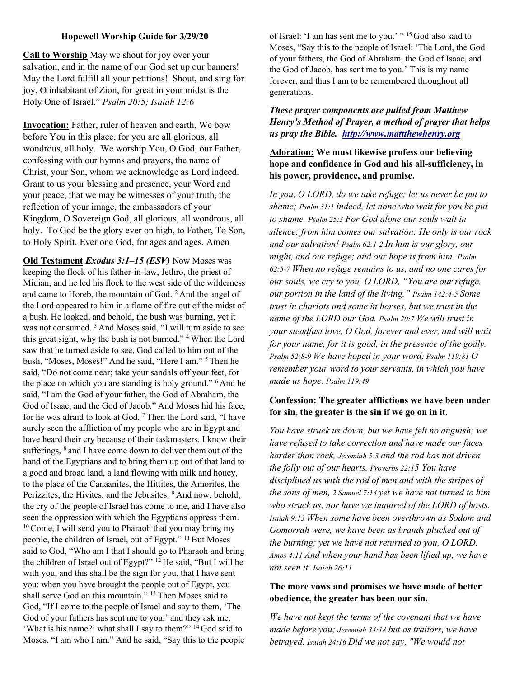#### Hopewell Worship Guide for 3/29/20

Call to Worship May we shout for joy over your salvation, and in the name of our God set up our banners! May the Lord fulfill all your petitions! Shout, and sing for joy, O inhabitant of Zion, for great in your midst is the Holy One of Israel." Psalm 20:5; Isaiah 12:6

Invocation: Father, ruler of heaven and earth, We bow before You in this place, for you are all glorious, all wondrous, all holy. We worship You, O God, our Father, confessing with our hymns and prayers, the name of Christ, your Son, whom we acknowledge as Lord indeed. Grant to us your blessing and presence, your Word and your peace, that we may be witnesses of your truth, the reflection of your image, the ambassadors of your Kingdom, O Sovereign God, all glorious, all wondrous, all holy. To God be the glory ever on high, to Father, To Son, to Holy Spirit. Ever one God, for ages and ages. Amen

Old Testament *Exodus* 3:1-15 (ESV) Now Moses was keeping the flock of his father-in-law, Jethro, the priest of Midian, and he led his flock to the west side of the wilderness and came to Horeb, the mountain of God. <sup>2</sup> And the angel of the Lord appeared to him in a flame of fire out of the midst of a bush. He looked, and behold, the bush was burning, yet it was not consumed. <sup>3</sup>And Moses said, "I will turn aside to see this great sight, why the bush is not burned." <sup>4</sup>When the Lord saw that he turned aside to see, God called to him out of the bush, "Moses, Moses!" And he said, "Here I am." <sup>5</sup>Then he said, "Do not come near; take your sandals off your feet, for the place on which you are standing is holy ground."  $6$  And he said, "I am the God of your father, the God of Abraham, the God of Isaac, and the God of Jacob." And Moses hid his face, for he was afraid to look at God.<sup>7</sup> Then the Lord said, "I have surely seen the affliction of my people who are in Egypt and have heard their cry because of their taskmasters. I know their sufferings, <sup>8</sup> and I have come down to deliver them out of the hand of the Egyptians and to bring them up out of that land to a good and broad land, a land flowing with milk and honey, to the place of the Canaanites, the Hittites, the Amorites, the Perizzites, the Hivites, and the Jebusites. <sup>9</sup> And now, behold, the cry of the people of Israel has come to me, and I have also seen the oppression with which the Egyptians oppress them.  $10$  Come, I will send you to Pharaoh that you may bring my people, the children of Israel, out of Egypt." <sup>11</sup> But Moses said to God, "Who am I that I should go to Pharaoh and bring the children of Israel out of Egypt?"  $12$  He said, "But I will be with you, and this shall be the sign for you, that I have sent you: when you have brought the people out of Egypt, you shall serve God on this mountain." <sup>13</sup> Then Moses said to God, "If I come to the people of Israel and say to them, 'The God of your fathers has sent me to you,' and they ask me, 'What is his name?' what shall I say to them?" <sup>14</sup>God said to Moses, "I am who I am." And he said, "Say this to the people

of Israel: 'I am has sent me to you.' " <sup>15</sup>God also said to Moses, "Say this to the people of Israel: 'The Lord, the God of your fathers, the God of Abraham, the God of Isaac, and the God of Jacob, has sent me to you.' This is my name forever, and thus I am to be remembered throughout all generations.

#### These prayer components are pulled from Matthew Henry's Method of Prayer, a method of prayer that helps us pray the Bible. http://www.mattthewhenry.org

### Adoration: We must likewise profess our believing hope and confidence in God and his all-sufficiency, in his power, providence, and promise.

In you, O LORD, do we take refuge; let us never be put to shame; Psalm 31:1 indeed, let none who wait for you be put to shame. Psalm 25:3 For God alone our souls wait in silence; from him comes our salvation: He only is our rock and our salvation! Psalm 62:1-2 In him is our glory, our might, and our refuge; and our hope is from him. Psalm 62:5-7 When no refuge remains to us, and no one cares for our souls, we cry to you, O LORD, "You are our refuge, our portion in the land of the living." Psalm 142:4-5 Some trust in chariots and some in horses, but we trust in the name of the LORD our God. Psalm 20:7 We will trust in your steadfast love, O God, forever and ever, and will wait for your name, for it is good, in the presence of the godly. Psalm 52:8-9 We have hoped in your word; Psalm 119:81 O remember your word to your servants, in which you have made us hope. Psalm 119:49

## Confession: The greater afflictions we have been under for sin, the greater is the sin if we go on in it.

You have struck us down, but we have felt no anguish; we have refused to take correction and have made our faces harder than rock, Jeremiah 5:3 and the rod has not driven the folly out of our hearts. Proverbs 22:15 You have disciplined us with the rod of men and with the stripes of the sons of men, 2 Samuel 7:14 yet we have not turned to him who struck us, nor have we inquired of the LORD of hosts. Isaiah 9:13 When some have been overthrown as Sodom and Gomorrah were, we have been as brands plucked out of the burning; yet we have not returned to you, O LORD. Amos 4:11 And when your hand has been lifted up, we have not seen it. Isaiah 26:11

### The more vows and promises we have made of better obedience, the greater has been our sin.

We have not kept the terms of the covenant that we have made before you; Jeremiah 34:18 but as traitors, we have betrayed. Isaiah 24:16 Did we not say, "We would not